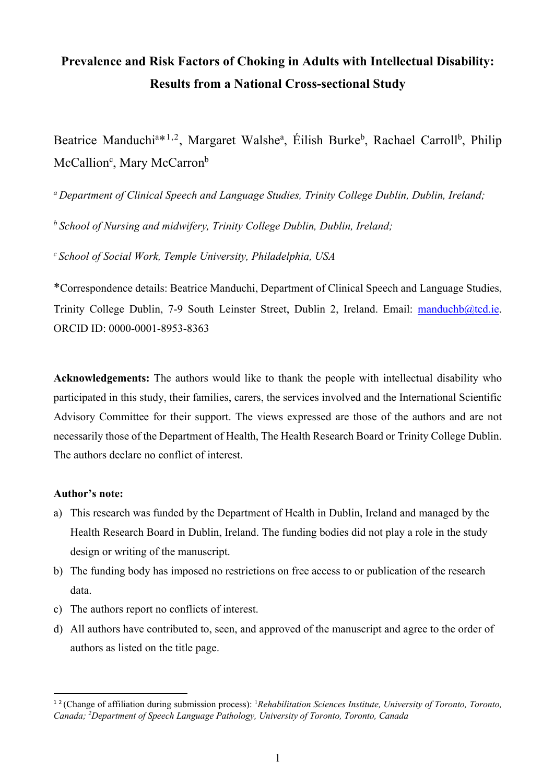# **Prevalence and Risk Factors of Choking in Adults with Intellectual Disability: Results from a National Cross-sectional Study**

Beatrice Manduchi<sup>a\*1,2</sup>, Margaret Walshe<sup>a</sup>, Éilish Burke<sup>b</sup>, Rachael Carroll<sup>b</sup>, Philip McCallion<sup>c</sup>, Mary McCarron<sup>b</sup>

*a Department of Clinical Speech and Language Studies, Trinity College Dublin, Dublin, Ireland;*

*b School of Nursing and midwifery, Trinity College Dublin, Dublin, Ireland;*

*c School of Social Work, Temple University, Philadelphia, USA*

\*Correspondence details: Beatrice Manduchi, Department of Clinical Speech and Language Studies, Trinity College Dublin, 7-9 South Leinster Street, Dublin 2, Ireland. Email: manduchb@tcd.ie. ORCID ID: 0000-0001-8953-8363

**Acknowledgements:** The authors would like to thank the people with intellectual disability who participated in this study, their families, carers, the services involved and the International Scientific Advisory Committee for their support. The views expressed are those of the authors and are not necessarily those of the Department of Health, The Health Research Board or Trinity College Dublin. The authors declare no conflict of interest.

#### **Author's note:**

- a) This research was funded by the Department of Health in Dublin, Ireland and managed by the Health Research Board in Dublin, Ireland. The funding bodies did not play a role in the study design or writing of the manuscript.
- b) The funding body has imposed no restrictions on free access to or publication of the research data.
- c) The authors report no conflicts of interest.
- d) All authors have contributed to, seen, and approved of the manuscript and agree to the order of authors as listed on the title page.

<sup>&</sup>lt;sup>12</sup> (Change of affiliation during submission process): <sup>1</sup>Rehabilitation Sciences Institute, University of Toronto, Toronto, *Canada; 2 Department of Speech Language Pathology, University of Toronto, Toronto, Canada*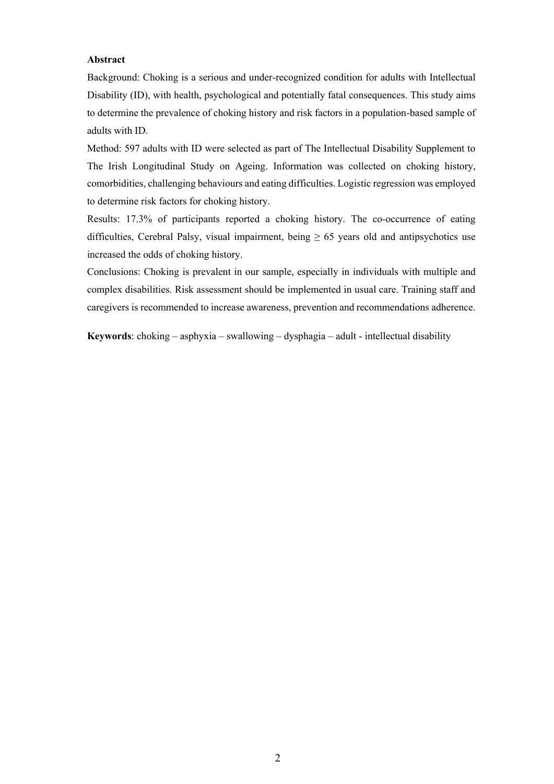#### **Abstract**

Background: Choking is a serious and under-recognized condition for adults with Intellectual Disability (ID), with health, psychological and potentially fatal consequences. This study aims to determine the prevalence of choking history and risk factors in a population-based sample of adults with ID.

Method: 597 adults with ID were selected as part of The Intellectual Disability Supplement to The Irish Longitudinal Study on Ageing. Information was collected on choking history, comorbidities, challenging behaviours and eating difficulties. Logistic regression was employed to determine risk factors for choking history.

Results: 17.3% of participants reported a choking history. The co-occurrence of eating difficulties, Cerebral Palsy, visual impairment, being  $\geq 65$  years old and antipsychotics use increased the odds of choking history.

Conclusions: Choking is prevalent in our sample, especially in individuals with multiple and complex disabilities. Risk assessment should be implemented in usual care. Training staff and caregivers is recommended to increase awareness, prevention and recommendations adherence.

**Keywords**: choking – asphyxia – swallowing – dysphagia – adult - intellectual disability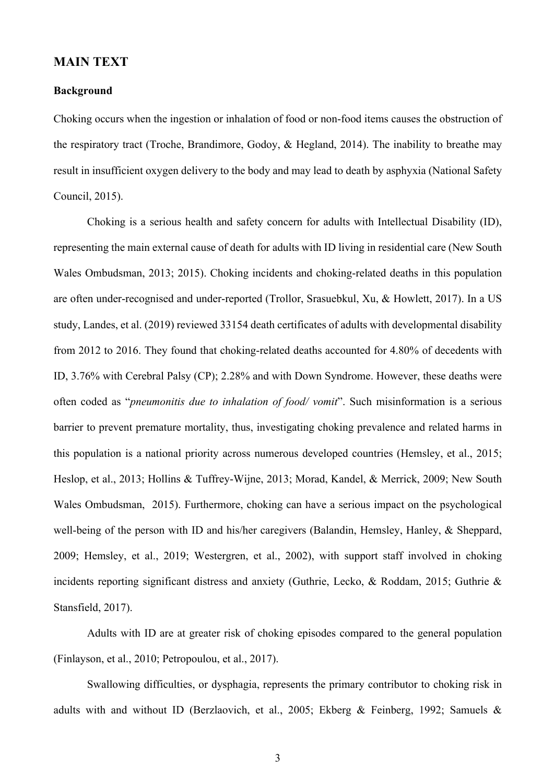# **MAIN TEXT**

#### **Background**

Choking occurs when the ingestion or inhalation of food or non-food items causes the obstruction of the respiratory tract (Troche, Brandimore, Godoy, & Hegland, 2014). The inability to breathe may result in insufficient oxygen delivery to the body and may lead to death by asphyxia (National Safety Council, 2015).

Choking is a serious health and safety concern for adults with Intellectual Disability (ID), representing the main external cause of death for adults with ID living in residential care (New South Wales Ombudsman, 2013; 2015). Choking incidents and choking-related deaths in this population are often under-recognised and under-reported (Trollor, Srasuebkul, Xu, & Howlett, 2017). In a US study, Landes, et al. (2019) reviewed 33154 death certificates of adults with developmental disability from 2012 to 2016. They found that choking-related deaths accounted for 4.80% of decedents with ID, 3.76% with Cerebral Palsy (CP); 2.28% and with Down Syndrome. However, these deaths were often coded as "*pneumonitis due to inhalation of food/ vomit*". Such misinformation is a serious barrier to prevent premature mortality, thus, investigating choking prevalence and related harms in this population is a national priority across numerous developed countries (Hemsley, et al., 2015; Heslop, et al., 2013; Hollins & Tuffrey-Wijne, 2013; Morad, Kandel, & Merrick, 2009; New South Wales Ombudsman, 2015). Furthermore, choking can have a serious impact on the psychological well-being of the person with ID and his/her caregivers (Balandin, Hemsley, Hanley, & Sheppard, 2009; Hemsley, et al., 2019; Westergren, et al., 2002), with support staff involved in choking incidents reporting significant distress and anxiety (Guthrie, Lecko, & Roddam, 2015; Guthrie & Stansfield, 2017).

Adults with ID are at greater risk of choking episodes compared to the general population (Finlayson, et al., 2010; Petropoulou, et al., 2017).

Swallowing difficulties, or dysphagia, represents the primary contributor to choking risk in adults with and without ID (Berzlaovich, et al., 2005; Ekberg & Feinberg, 1992; Samuels &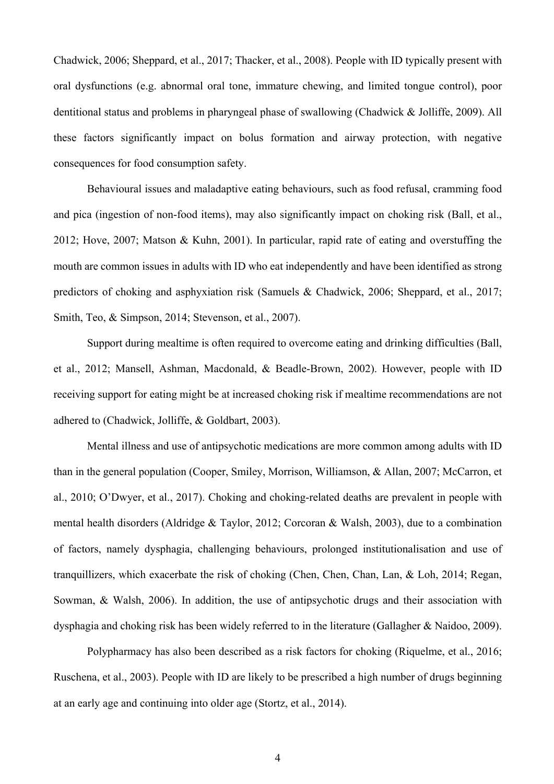Chadwick, 2006; Sheppard, et al., 2017; Thacker, et al., 2008). People with ID typically present with oral dysfunctions (e.g. abnormal oral tone, immature chewing, and limited tongue control), poor dentitional status and problems in pharyngeal phase of swallowing (Chadwick & Jolliffe, 2009). All these factors significantly impact on bolus formation and airway protection, with negative consequences for food consumption safety.

Behavioural issues and maladaptive eating behaviours, such as food refusal, cramming food and pica (ingestion of non-food items), may also significantly impact on choking risk (Ball, et al., 2012; Hove, 2007; Matson & Kuhn, 2001). In particular, rapid rate of eating and overstuffing the mouth are common issues in adults with ID who eat independently and have been identified as strong predictors of choking and asphyxiation risk (Samuels & Chadwick, 2006; Sheppard, et al., 2017; Smith, Teo, & Simpson, 2014; Stevenson, et al., 2007).

Support during mealtime is often required to overcome eating and drinking difficulties (Ball, et al., 2012; Mansell, Ashman, Macdonald, & Beadle-Brown, 2002). However, people with ID receiving support for eating might be at increased choking risk if mealtime recommendations are not adhered to (Chadwick, Jolliffe, & Goldbart, 2003).

Mental illness and use of antipsychotic medications are more common among adults with ID than in the general population (Cooper, Smiley, Morrison, Williamson, & Allan, 2007; McCarron, et al., 2010; O'Dwyer, et al., 2017). Choking and choking-related deaths are prevalent in people with mental health disorders (Aldridge & Taylor, 2012; Corcoran & Walsh, 2003), due to a combination of factors, namely dysphagia, challenging behaviours, prolonged institutionalisation and use of tranquillizers, which exacerbate the risk of choking (Chen, Chen, Chan, Lan, & Loh, 2014; Regan, Sowman, & Walsh, 2006). In addition, the use of antipsychotic drugs and their association with dysphagia and choking risk has been widely referred to in the literature (Gallagher & Naidoo, 2009).

Polypharmacy has also been described as a risk factors for choking (Riquelme, et al., 2016; Ruschena, et al., 2003). People with ID are likely to be prescribed a high number of drugs beginning at an early age and continuing into older age (Stortz, et al., 2014).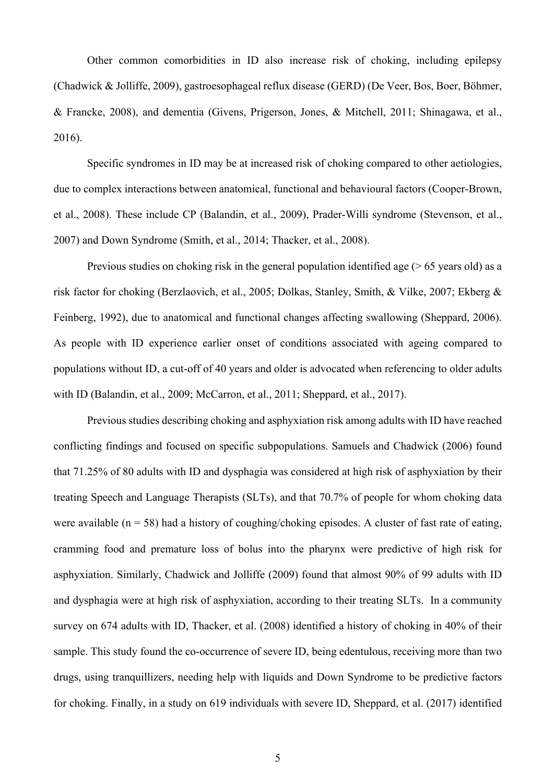Other common comorbidities in ID also increase risk of choking, including epilepsy (Chadwick & Jolliffe, 2009), gastroesophageal reflux disease (GERD) (De Veer, Bos, Boer, Böhmer, & Francke, 2008), and dementia (Givens, Prigerson, Jones, & Mitchell, 2011; Shinagawa, et al., 2016).

Specific syndromes in ID may be at increased risk of choking compared to other aetiologies, due to complex interactions between anatomical, functional and behavioural factors (Cooper-Brown, et al., 2008). These include CP (Balandin, et al., 2009), Prader-Willi syndrome (Stevenson, et al., 2007) and Down Syndrome (Smith, et al., 2014; Thacker, et al., 2008).

Previous studies on choking risk in the general population identified age  $($  > 65 years old) as a risk factor for choking (Berzlaovich, et al., 2005; Dolkas, Stanley, Smith, & Vilke, 2007; Ekberg & Feinberg, 1992), due to anatomical and functional changes affecting swallowing (Sheppard, 2006). As people with ID experience earlier onset of conditions associated with ageing compared to populations without ID, a cut-off of 40 years and older is advocated when referencing to older adults with ID (Balandin, et al., 2009; McCarron, et al., 2011; Sheppard, et al., 2017).

Previous studies describing choking and asphyxiation risk among adults with ID have reached conflicting findings and focused on specific subpopulations. Samuels and Chadwick (2006) found that 71.25% of 80 adults with ID and dysphagia was considered at high risk of asphyxiation by their treating Speech and Language Therapists (SLTs), and that 70.7% of people for whom choking data were available ( $n = 58$ ) had a history of coughing/choking episodes. A cluster of fast rate of eating, cramming food and premature loss of bolus into the pharynx were predictive of high risk for asphyxiation. Similarly, Chadwick and Jolliffe (2009) found that almost 90% of 99 adults with ID and dysphagia were at high risk of asphyxiation, according to their treating SLTs. In a community survey on 674 adults with ID, Thacker, et al. (2008) identified a history of choking in 40% of their sample. This study found the co-occurrence of severe ID, being edentulous, receiving more than two drugs, using tranquillizers, needing help with liquids and Down Syndrome to be predictive factors for choking. Finally, in a study on 619 individuals with severe ID, Sheppard, et al. (2017) identified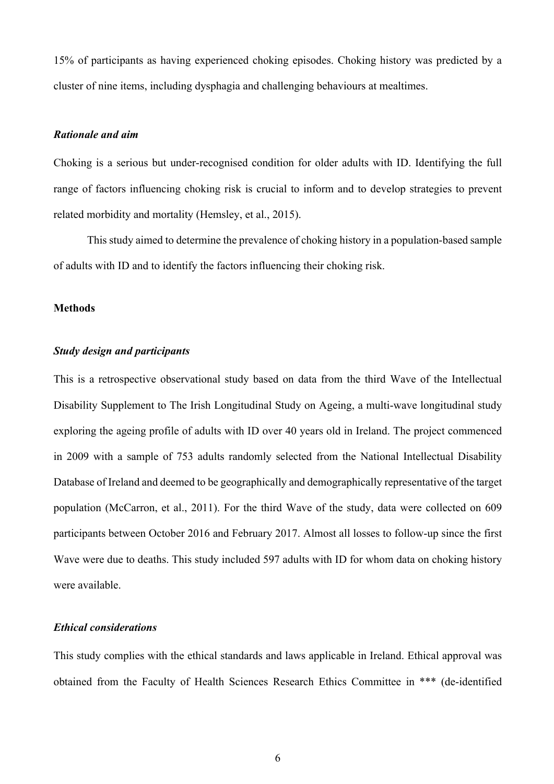15% of participants as having experienced choking episodes. Choking history was predicted by a cluster of nine items, including dysphagia and challenging behaviours at mealtimes.

### *Rationale and aim*

Choking is a serious but under-recognised condition for older adults with ID. Identifying the full range of factors influencing choking risk is crucial to inform and to develop strategies to prevent related morbidity and mortality (Hemsley, et al., 2015).

This study aimed to determine the prevalence of choking history in a population-based sample of adults with ID and to identify the factors influencing their choking risk.

### **Methods**

## *Study design and participants*

This is a retrospective observational study based on data from the third Wave of the Intellectual Disability Supplement to The Irish Longitudinal Study on Ageing, a multi-wave longitudinal study exploring the ageing profile of adults with ID over 40 years old in Ireland. The project commenced in 2009 with a sample of 753 adults randomly selected from the National Intellectual Disability Database of Ireland and deemed to be geographically and demographically representative of the target population (McCarron, et al., 2011). For the third Wave of the study, data were collected on 609 participants between October 2016 and February 2017. Almost all losses to follow-up since the first Wave were due to deaths. This study included 597 adults with ID for whom data on choking history were available.

#### *Ethical considerations*

This study complies with the ethical standards and laws applicable in Ireland. Ethical approval was obtained from the Faculty of Health Sciences Research Ethics Committee in \*\*\* (de-identified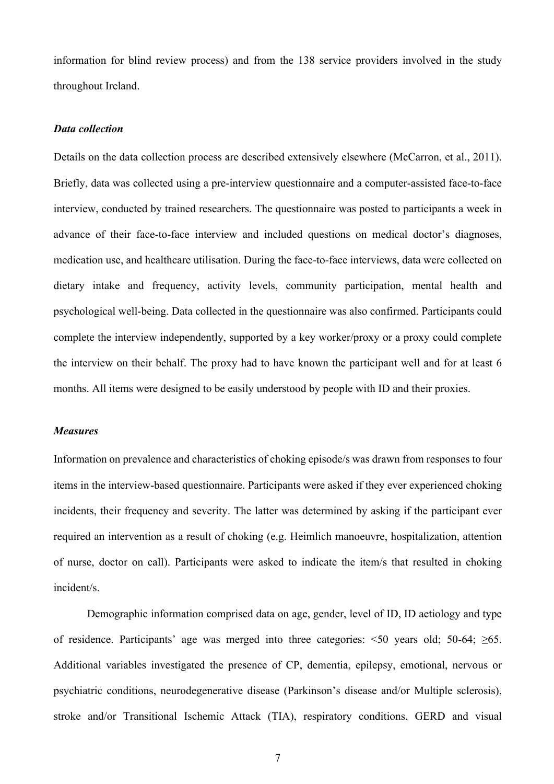information for blind review process) and from the 138 service providers involved in the study throughout Ireland.

## *Data collection*

Details on the data collection process are described extensively elsewhere (McCarron, et al., 2011). Briefly, data was collected using a pre-interview questionnaire and a computer-assisted face-to-face interview, conducted by trained researchers. The questionnaire was posted to participants a week in advance of their face-to-face interview and included questions on medical doctor's diagnoses, medication use, and healthcare utilisation. During the face-to-face interviews, data were collected on dietary intake and frequency, activity levels, community participation, mental health and psychological well-being. Data collected in the questionnaire was also confirmed. Participants could complete the interview independently, supported by a key worker/proxy or a proxy could complete the interview on their behalf. The proxy had to have known the participant well and for at least 6 months. All items were designed to be easily understood by people with ID and their proxies.

#### *Measures*

Information on prevalence and characteristics of choking episode/s was drawn from responses to four items in the interview-based questionnaire. Participants were asked if they ever experienced choking incidents, their frequency and severity. The latter was determined by asking if the participant ever required an intervention as a result of choking (e.g. Heimlich manoeuvre, hospitalization, attention of nurse, doctor on call). Participants were asked to indicate the item/s that resulted in choking incident/s.

Demographic information comprised data on age, gender, level of ID, ID aetiology and type of residence. Participants' age was merged into three categories:  $\leq 50$  years old; 50-64;  $\geq 65$ . Additional variables investigated the presence of CP, dementia, epilepsy, emotional, nervous or psychiatric conditions, neurodegenerative disease (Parkinson's disease and/or Multiple sclerosis), stroke and/or Transitional Ischemic Attack (TIA), respiratory conditions, GERD and visual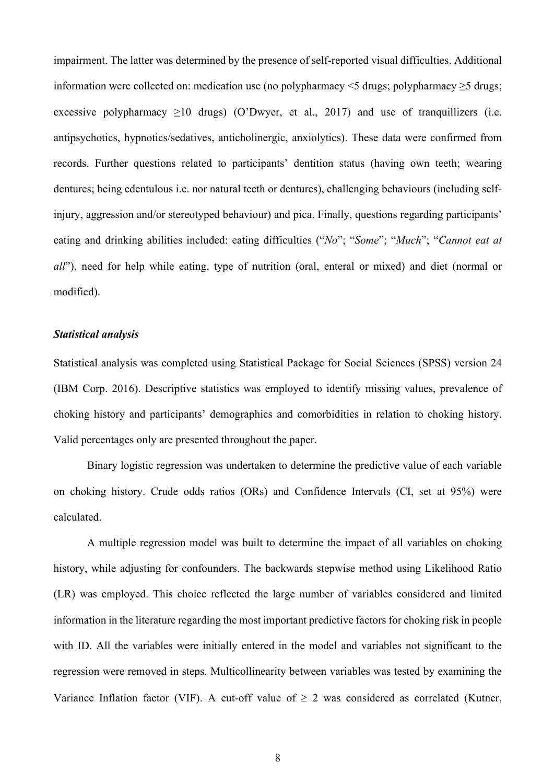impairment. The latter was determined by the presence of self-reported visual difficulties. Additional information were collected on: medication use (no polypharmacy <5 drugs; polypharmacy ≥5 drugs; excessive polypharmacy  $\geq 10$  drugs) (O'Dwyer, et al., 2017) and use of tranquillizers (i.e. antipsychotics, hypnotics/sedatives, anticholinergic, anxiolytics). These data were confirmed from records. Further questions related to participants' dentition status (having own teeth; wearing dentures; being edentulous i.e. nor natural teeth or dentures), challenging behaviours (including selfinjury, aggression and/or stereotyped behaviour) and pica. Finally, questions regarding participants' eating and drinking abilities included: eating difficulties ("*No*"; "*Some*"; "*Much*"; "*Cannot eat at all*"), need for help while eating, type of nutrition (oral, enteral or mixed) and diet (normal or modified).

### *Statistical analysis*

Statistical analysis was completed using Statistical Package for Social Sciences (SPSS) version 24 (IBM Corp. 2016). Descriptive statistics was employed to identify missing values, prevalence of choking history and participants' demographics and comorbidities in relation to choking history. Valid percentages only are presented throughout the paper.

Binary logistic regression was undertaken to determine the predictive value of each variable on choking history. Crude odds ratios (ORs) and Confidence Intervals (CI, set at 95%) were calculated.

A multiple regression model was built to determine the impact of all variables on choking history, while adjusting for confounders. The backwards stepwise method using Likelihood Ratio (LR) was employed. This choice reflected the large number of variables considered and limited information in the literature regarding the most important predictive factors for choking risk in people with ID. All the variables were initially entered in the model and variables not significant to the regression were removed in steps. Multicollinearity between variables was tested by examining the Variance Inflation factor (VIF). A cut-off value of  $\geq 2$  was considered as correlated (Kutner,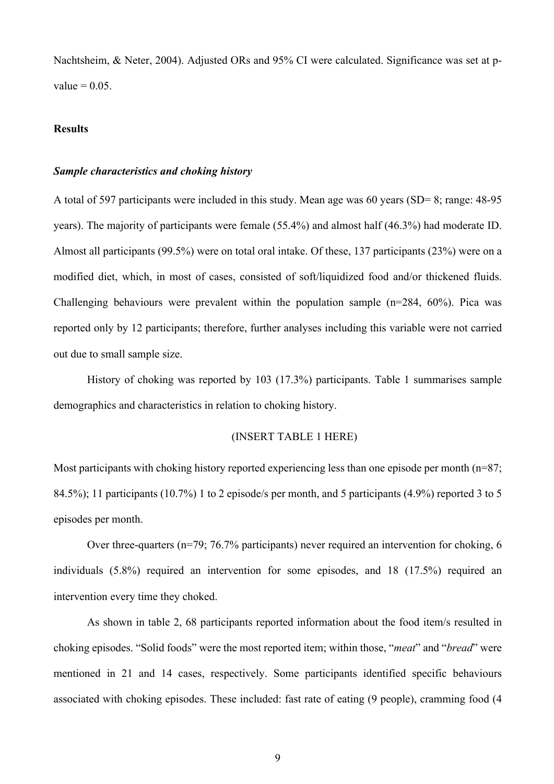Nachtsheim, & Neter, 2004). Adjusted ORs and 95% CI were calculated. Significance was set at pvalue  $= 0.05$ .

## **Results**

#### *Sample characteristics and choking history*

A total of 597 participants were included in this study. Mean age was 60 years (SD= 8; range: 48-95 years). The majority of participants were female (55.4%) and almost half (46.3%) had moderate ID. Almost all participants (99.5%) were on total oral intake. Of these, 137 participants (23%) were on a modified diet, which, in most of cases, consisted of soft/liquidized food and/or thickened fluids. Challenging behaviours were prevalent within the population sample  $(n=284, 60\%)$ . Pica was reported only by 12 participants; therefore, further analyses including this variable were not carried out due to small sample size.

History of choking was reported by 103 (17.3%) participants. Table 1 summarises sample demographics and characteristics in relation to choking history.

#### (INSERT TABLE 1 HERE)

Most participants with choking history reported experiencing less than one episode per month  $(n=87;$ 84.5%); 11 participants (10.7%) 1 to 2 episode/s per month, and 5 participants (4.9%) reported 3 to 5 episodes per month.

Over three-quarters (n=79; 76.7% participants) never required an intervention for choking, 6 individuals (5.8%) required an intervention for some episodes, and 18 (17.5%) required an intervention every time they choked.

As shown in table 2, 68 participants reported information about the food item/s resulted in choking episodes. "Solid foods" were the most reported item; within those, "*meat*" and "*bread*" were mentioned in 21 and 14 cases, respectively. Some participants identified specific behaviours associated with choking episodes. These included: fast rate of eating (9 people), cramming food (4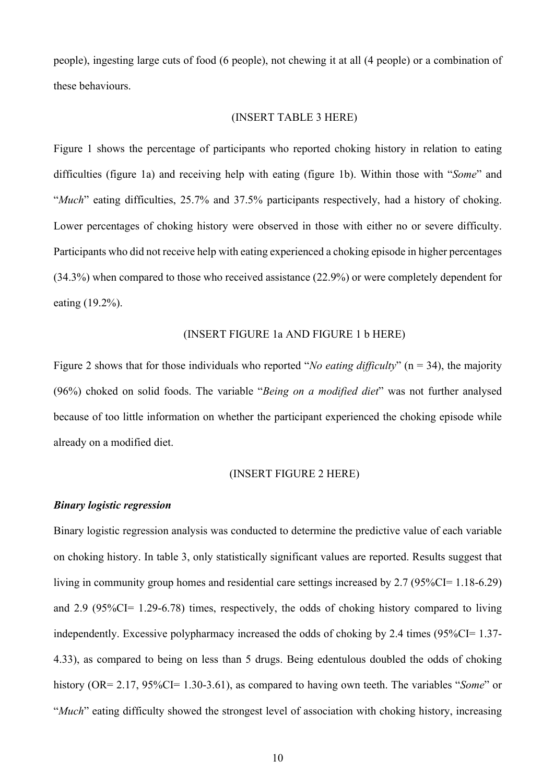people), ingesting large cuts of food (6 people), not chewing it at all (4 people) or a combination of these behaviours.

#### (INSERT TABLE 3 HERE)

Figure 1 shows the percentage of participants who reported choking history in relation to eating difficulties (figure 1a) and receiving help with eating (figure 1b). Within those with "*Some*" and "*Much*" eating difficulties, 25.7% and 37.5% participants respectively, had a history of choking. Lower percentages of choking history were observed in those with either no or severe difficulty. Participants who did not receive help with eating experienced a choking episode in higher percentages (34.3%) when compared to those who received assistance (22.9%) or were completely dependent for eating (19.2%).

#### (INSERT FIGURE 1a AND FIGURE 1 b HERE)

Figure 2 shows that for those individuals who reported "*No eating difficulty*" (n = 34), the majority (96%) choked on solid foods. The variable "*Being on a modified diet*" was not further analysed because of too little information on whether the participant experienced the choking episode while already on a modified diet.

#### (INSERT FIGURE 2 HERE)

## *Binary logistic regression*

Binary logistic regression analysis was conducted to determine the predictive value of each variable on choking history. In table 3, only statistically significant values are reported. Results suggest that living in community group homes and residential care settings increased by 2.7 (95%CI= 1.18-6.29) and 2.9 (95%CI= 1.29-6.78) times, respectively, the odds of choking history compared to living independently. Excessive polypharmacy increased the odds of choking by 2.4 times (95%CI= 1.37- 4.33), as compared to being on less than 5 drugs. Being edentulous doubled the odds of choking history (OR= 2.17, 95%CI= 1.30-3.61), as compared to having own teeth. The variables "*Some*" or "*Much*" eating difficulty showed the strongest level of association with choking history, increasing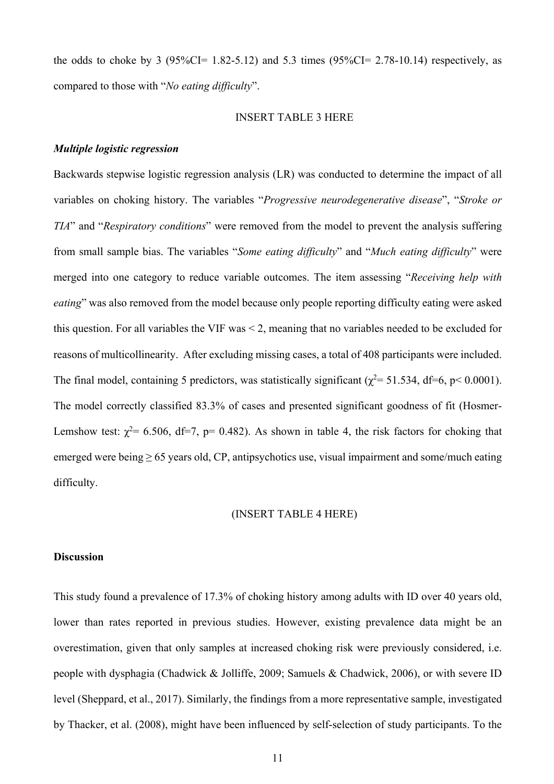the odds to choke by 3 (95%CI=  $1.82 - 5.12$ ) and 5.3 times (95%CI= 2.78-10.14) respectively, as compared to those with "*No eating difficulty*".

#### INSERT TABLE 3 HERE

#### *Multiple logistic regression*

Backwards stepwise logistic regression analysis (LR) was conducted to determine the impact of all variables on choking history. The variables "*Progressive neurodegenerative disease*", "*Stroke or TIA*" and "*Respiratory conditions*" were removed from the model to prevent the analysis suffering from small sample bias. The variables "*Some eating difficulty*" and "*Much eating difficulty*" were merged into one category to reduce variable outcomes. The item assessing "*Receiving help with eating*" was also removed from the model because only people reporting difficulty eating were asked this question. For all variables the VIF was < 2, meaning that no variables needed to be excluded for reasons of multicollinearity. After excluding missing cases, a total of 408 participants were included. The final model, containing 5 predictors, was statistically significant ( $\chi^2$  = 51.534, df=6, p< 0.0001). The model correctly classified 83.3% of cases and presented significant goodness of fit (Hosmer-Lemshow test:  $\chi^2$  = 6.506, df=7, p= 0.482). As shown in table 4, the risk factors for choking that emerged were being ≥ 65 years old, CP, antipsychotics use, visual impairment and some/much eating difficulty.

#### (INSERT TABLE 4 HERE)

#### **Discussion**

This study found a prevalence of 17.3% of choking history among adults with ID over 40 years old, lower than rates reported in previous studies. However, existing prevalence data might be an overestimation, given that only samples at increased choking risk were previously considered, i.e. people with dysphagia (Chadwick & Jolliffe, 2009; Samuels & Chadwick, 2006), or with severe ID level (Sheppard, et al., 2017). Similarly, the findings from a more representative sample, investigated by Thacker, et al. (2008), might have been influenced by self-selection of study participants. To the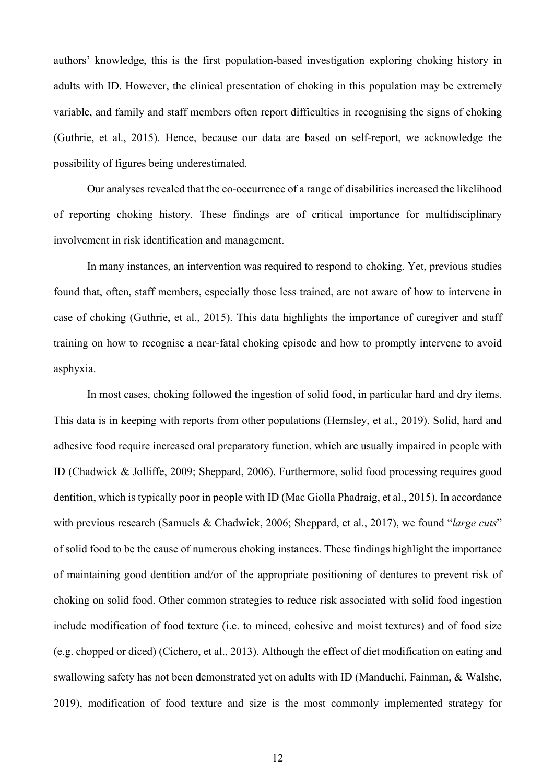authors' knowledge, this is the first population-based investigation exploring choking history in adults with ID. However, the clinical presentation of choking in this population may be extremely variable, and family and staff members often report difficulties in recognising the signs of choking (Guthrie, et al., 2015). Hence, because our data are based on self-report, we acknowledge the possibility of figures being underestimated.

Our analyses revealed that the co-occurrence of a range of disabilities increased the likelihood of reporting choking history. These findings are of critical importance for multidisciplinary involvement in risk identification and management.

In many instances, an intervention was required to respond to choking. Yet, previous studies found that, often, staff members, especially those less trained, are not aware of how to intervene in case of choking (Guthrie, et al., 2015). This data highlights the importance of caregiver and staff training on how to recognise a near-fatal choking episode and how to promptly intervene to avoid asphyxia.

In most cases, choking followed the ingestion of solid food, in particular hard and dry items. This data is in keeping with reports from other populations (Hemsley, et al., 2019). Solid, hard and adhesive food require increased oral preparatory function, which are usually impaired in people with ID (Chadwick & Jolliffe, 2009; Sheppard, 2006). Furthermore, solid food processing requires good dentition, which is typically poor in people with ID (Mac Giolla Phadraig, et al., 2015). In accordance with previous research (Samuels & Chadwick, 2006; Sheppard, et al., 2017), we found "*large cuts*" of solid food to be the cause of numerous choking instances. These findings highlight the importance of maintaining good dentition and/or of the appropriate positioning of dentures to prevent risk of choking on solid food. Other common strategies to reduce risk associated with solid food ingestion include modification of food texture (i.e. to minced, cohesive and moist textures) and of food size (e.g. chopped or diced) (Cichero, et al., 2013). Although the effect of diet modification on eating and swallowing safety has not been demonstrated yet on adults with ID (Manduchi, Fainman, & Walshe, 2019), modification of food texture and size is the most commonly implemented strategy for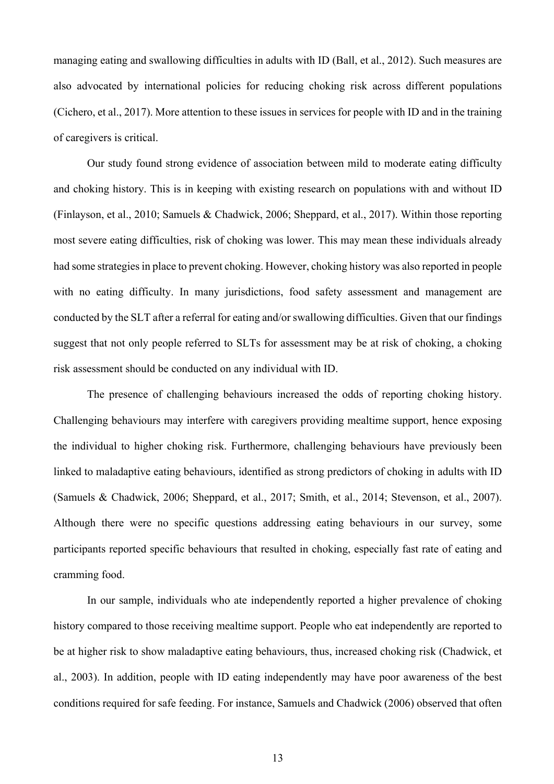managing eating and swallowing difficulties in adults with ID (Ball, et al., 2012). Such measures are also advocated by international policies for reducing choking risk across different populations (Cichero, et al., 2017). More attention to these issues in services for people with ID and in the training of caregivers is critical.

Our study found strong evidence of association between mild to moderate eating difficulty and choking history. This is in keeping with existing research on populations with and without ID (Finlayson, et al., 2010; Samuels & Chadwick, 2006; Sheppard, et al., 2017). Within those reporting most severe eating difficulties, risk of choking was lower. This may mean these individuals already had some strategies in place to prevent choking. However, choking history was also reported in people with no eating difficulty. In many jurisdictions, food safety assessment and management are conducted by the SLT after a referral for eating and/or swallowing difficulties. Given that our findings suggest that not only people referred to SLTs for assessment may be at risk of choking, a choking risk assessment should be conducted on any individual with ID.

The presence of challenging behaviours increased the odds of reporting choking history. Challenging behaviours may interfere with caregivers providing mealtime support, hence exposing the individual to higher choking risk. Furthermore, challenging behaviours have previously been linked to maladaptive eating behaviours, identified as strong predictors of choking in adults with ID (Samuels & Chadwick, 2006; Sheppard, et al., 2017; Smith, et al., 2014; Stevenson, et al., 2007). Although there were no specific questions addressing eating behaviours in our survey, some participants reported specific behaviours that resulted in choking, especially fast rate of eating and cramming food.

In our sample, individuals who ate independently reported a higher prevalence of choking history compared to those receiving mealtime support. People who eat independently are reported to be at higher risk to show maladaptive eating behaviours, thus, increased choking risk (Chadwick, et al., 2003). In addition, people with ID eating independently may have poor awareness of the best conditions required for safe feeding. For instance, Samuels and Chadwick (2006) observed that often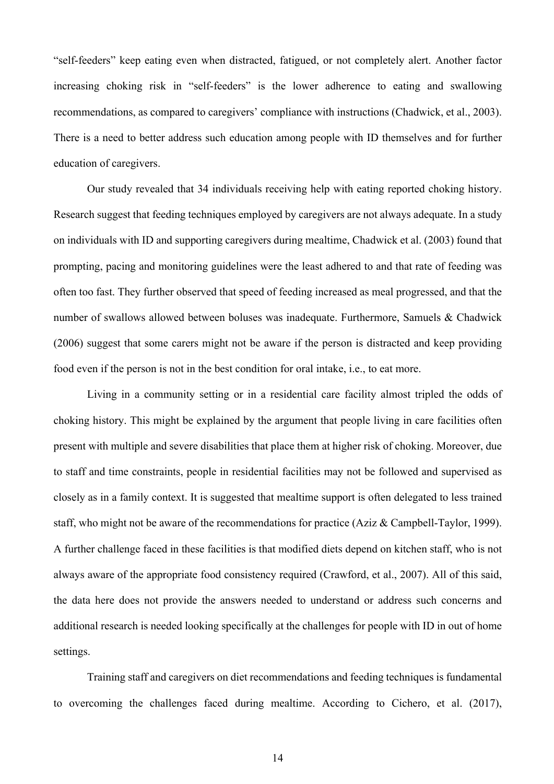"self-feeders" keep eating even when distracted, fatigued, or not completely alert. Another factor increasing choking risk in "self-feeders" is the lower adherence to eating and swallowing recommendations, as compared to caregivers' compliance with instructions (Chadwick, et al., 2003). There is a need to better address such education among people with ID themselves and for further education of caregivers.

Our study revealed that 34 individuals receiving help with eating reported choking history. Research suggest that feeding techniques employed by caregivers are not always adequate. In a study on individuals with ID and supporting caregivers during mealtime, Chadwick et al. (2003) found that prompting, pacing and monitoring guidelines were the least adhered to and that rate of feeding was often too fast. They further observed that speed of feeding increased as meal progressed, and that the number of swallows allowed between boluses was inadequate. Furthermore, Samuels & Chadwick (2006) suggest that some carers might not be aware if the person is distracted and keep providing food even if the person is not in the best condition for oral intake, i.e., to eat more.

Living in a community setting or in a residential care facility almost tripled the odds of choking history. This might be explained by the argument that people living in care facilities often present with multiple and severe disabilities that place them at higher risk of choking. Moreover, due to staff and time constraints, people in residential facilities may not be followed and supervised as closely as in a family context. It is suggested that mealtime support is often delegated to less trained staff, who might not be aware of the recommendations for practice (Aziz & Campbell-Taylor, 1999). A further challenge faced in these facilities is that modified diets depend on kitchen staff, who is not always aware of the appropriate food consistency required (Crawford, et al., 2007). All of this said, the data here does not provide the answers needed to understand or address such concerns and additional research is needed looking specifically at the challenges for people with ID in out of home settings.

Training staff and caregivers on diet recommendations and feeding techniques is fundamental to overcoming the challenges faced during mealtime. According to Cichero, et al. (2017),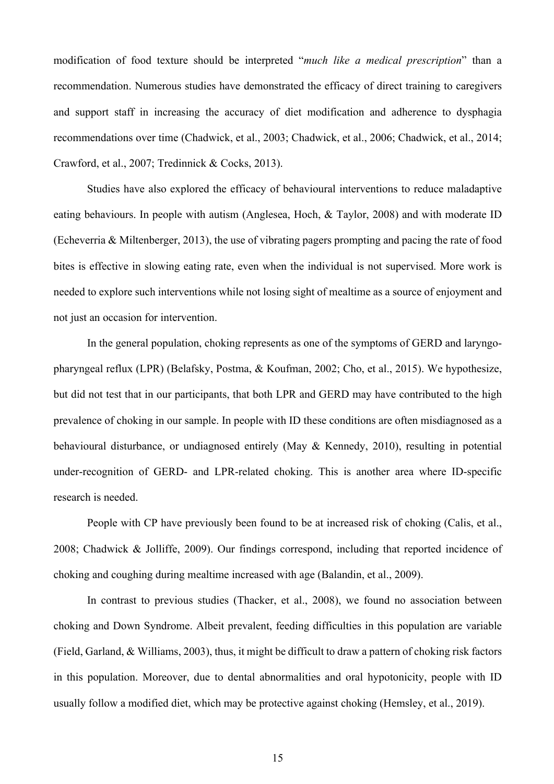modification of food texture should be interpreted "*much like a medical prescription*" than a recommendation. Numerous studies have demonstrated the efficacy of direct training to caregivers and support staff in increasing the accuracy of diet modification and adherence to dysphagia recommendations over time (Chadwick, et al., 2003; Chadwick, et al., 2006; Chadwick, et al., 2014; Crawford, et al., 2007; Tredinnick & Cocks, 2013).

Studies have also explored the efficacy of behavioural interventions to reduce maladaptive eating behaviours. In people with autism (Anglesea, Hoch, & Taylor, 2008) and with moderate ID (Echeverria & Miltenberger, 2013), the use of vibrating pagers prompting and pacing the rate of food bites is effective in slowing eating rate, even when the individual is not supervised. More work is needed to explore such interventions while not losing sight of mealtime as a source of enjoyment and not just an occasion for intervention.

In the general population, choking represents as one of the symptoms of GERD and laryngopharyngeal reflux (LPR) (Belafsky, Postma, & Koufman, 2002; Cho, et al., 2015). We hypothesize, but did not test that in our participants, that both LPR and GERD may have contributed to the high prevalence of choking in our sample. In people with ID these conditions are often misdiagnosed as a behavioural disturbance, or undiagnosed entirely (May & Kennedy, 2010), resulting in potential under-recognition of GERD- and LPR-related choking. This is another area where ID-specific research is needed.

People with CP have previously been found to be at increased risk of choking (Calis, et al., 2008; Chadwick & Jolliffe, 2009). Our findings correspond, including that reported incidence of choking and coughing during mealtime increased with age (Balandin, et al., 2009).

In contrast to previous studies (Thacker, et al., 2008), we found no association between choking and Down Syndrome. Albeit prevalent, feeding difficulties in this population are variable (Field, Garland, & Williams, 2003), thus, it might be difficult to draw a pattern of choking risk factors in this population. Moreover, due to dental abnormalities and oral hypotonicity, people with ID usually follow a modified diet, which may be protective against choking (Hemsley, et al., 2019).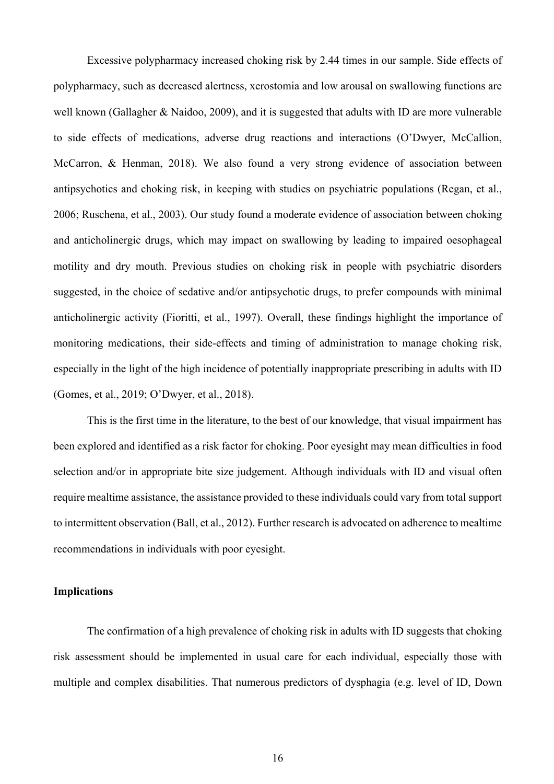Excessive polypharmacy increased choking risk by 2.44 times in our sample. Side effects of polypharmacy, such as decreased alertness, xerostomia and low arousal on swallowing functions are well known (Gallagher & Naidoo, 2009), and it is suggested that adults with ID are more vulnerable to side effects of medications, adverse drug reactions and interactions (O'Dwyer, McCallion, McCarron, & Henman, 2018). We also found a very strong evidence of association between antipsychotics and choking risk, in keeping with studies on psychiatric populations (Regan, et al., 2006; Ruschena, et al., 2003). Our study found a moderate evidence of association between choking and anticholinergic drugs, which may impact on swallowing by leading to impaired oesophageal motility and dry mouth. Previous studies on choking risk in people with psychiatric disorders suggested, in the choice of sedative and/or antipsychotic drugs, to prefer compounds with minimal anticholinergic activity (Fioritti, et al., 1997). Overall, these findings highlight the importance of monitoring medications, their side-effects and timing of administration to manage choking risk, especially in the light of the high incidence of potentially inappropriate prescribing in adults with ID (Gomes, et al., 2019; O'Dwyer, et al., 2018).

This is the first time in the literature, to the best of our knowledge, that visual impairment has been explored and identified as a risk factor for choking. Poor eyesight may mean difficulties in food selection and/or in appropriate bite size judgement. Although individuals with ID and visual often require mealtime assistance, the assistance provided to these individuals could vary from total support to intermittent observation (Ball, et al., 2012). Further research is advocated on adherence to mealtime recommendations in individuals with poor eyesight.

## **Implications**

The confirmation of a high prevalence of choking risk in adults with ID suggests that choking risk assessment should be implemented in usual care for each individual, especially those with multiple and complex disabilities. That numerous predictors of dysphagia (e.g. level of ID, Down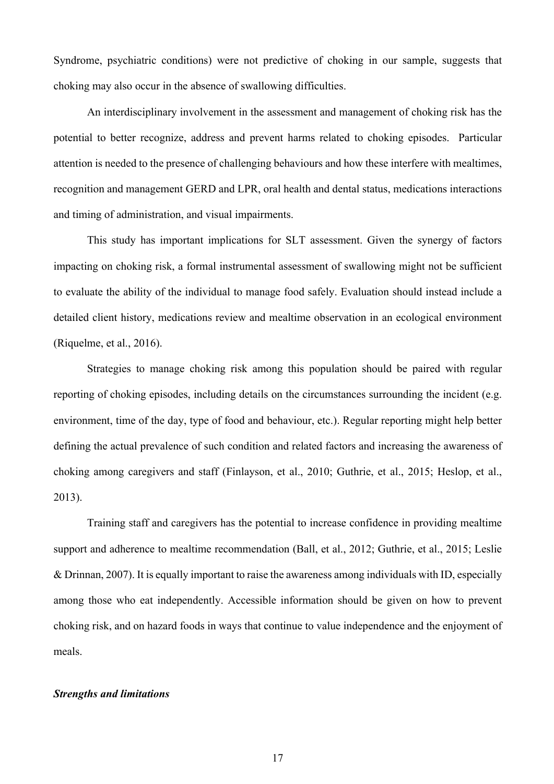Syndrome, psychiatric conditions) were not predictive of choking in our sample, suggests that choking may also occur in the absence of swallowing difficulties.

An interdisciplinary involvement in the assessment and management of choking risk has the potential to better recognize, address and prevent harms related to choking episodes. Particular attention is needed to the presence of challenging behaviours and how these interfere with mealtimes, recognition and management GERD and LPR, oral health and dental status, medications interactions and timing of administration, and visual impairments.

This study has important implications for SLT assessment. Given the synergy of factors impacting on choking risk, a formal instrumental assessment of swallowing might not be sufficient to evaluate the ability of the individual to manage food safely. Evaluation should instead include a detailed client history, medications review and mealtime observation in an ecological environment (Riquelme, et al., 2016).

Strategies to manage choking risk among this population should be paired with regular reporting of choking episodes, including details on the circumstances surrounding the incident (e.g. environment, time of the day, type of food and behaviour, etc.). Regular reporting might help better defining the actual prevalence of such condition and related factors and increasing the awareness of choking among caregivers and staff (Finlayson, et al., 2010; Guthrie, et al., 2015; Heslop, et al., 2013).

Training staff and caregivers has the potential to increase confidence in providing mealtime support and adherence to mealtime recommendation (Ball, et al., 2012; Guthrie, et al., 2015; Leslie & Drinnan, 2007). It is equally important to raise the awareness among individuals with ID, especially among those who eat independently. Accessible information should be given on how to prevent choking risk, and on hazard foods in ways that continue to value independence and the enjoyment of meals.

## *Strengths and limitations*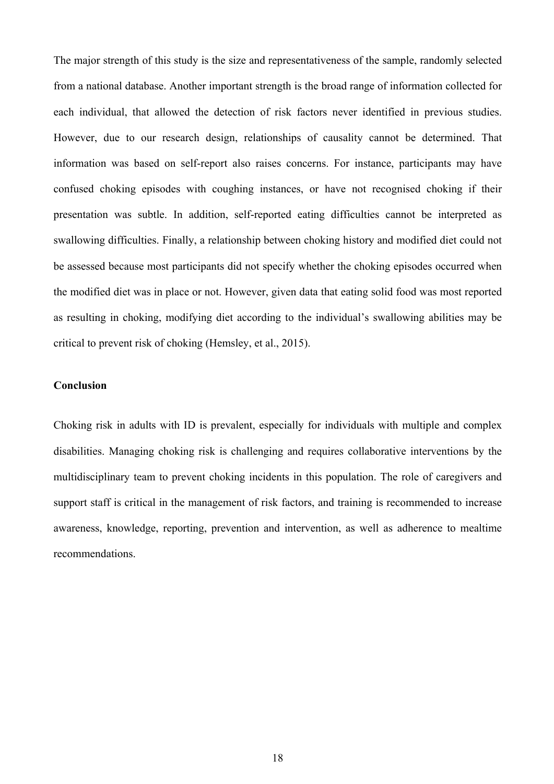The major strength of this study is the size and representativeness of the sample, randomly selected from a national database. Another important strength is the broad range of information collected for each individual, that allowed the detection of risk factors never identified in previous studies. However, due to our research design, relationships of causality cannot be determined. That information was based on self-report also raises concerns. For instance, participants may have confused choking episodes with coughing instances, or have not recognised choking if their presentation was subtle. In addition, self-reported eating difficulties cannot be interpreted as swallowing difficulties. Finally, a relationship between choking history and modified diet could not be assessed because most participants did not specify whether the choking episodes occurred when the modified diet was in place or not. However, given data that eating solid food was most reported as resulting in choking, modifying diet according to the individual's swallowing abilities may be critical to prevent risk of choking (Hemsley, et al., 2015).

## **Conclusion**

Choking risk in adults with ID is prevalent, especially for individuals with multiple and complex disabilities. Managing choking risk is challenging and requires collaborative interventions by the multidisciplinary team to prevent choking incidents in this population. The role of caregivers and support staff is critical in the management of risk factors, and training is recommended to increase awareness, knowledge, reporting, prevention and intervention, as well as adherence to mealtime recommendations.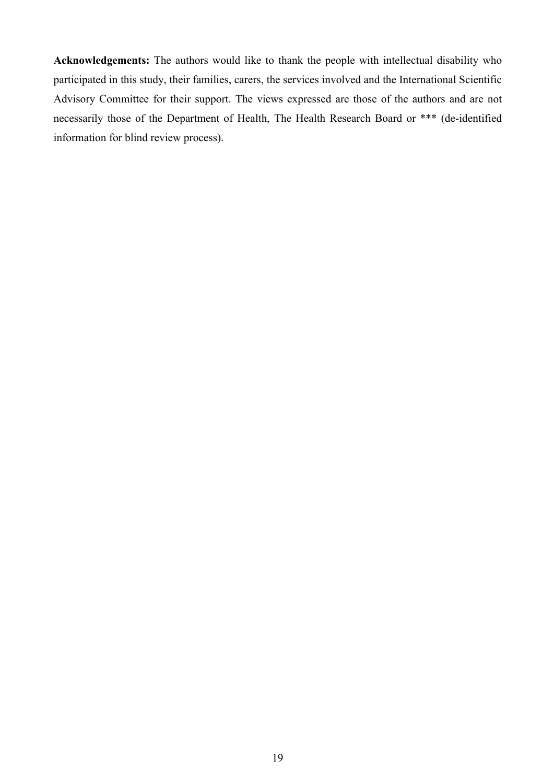**Acknowledgements:** The authors would like to thank the people with intellectual disability who participated in this study, their families, carers, the services involved and the International Scientific Advisory Committee for their support. The views expressed are those of the authors and are not necessarily those of the Department of Health, The Health Research Board or \*\*\* (de-identified information for blind review process).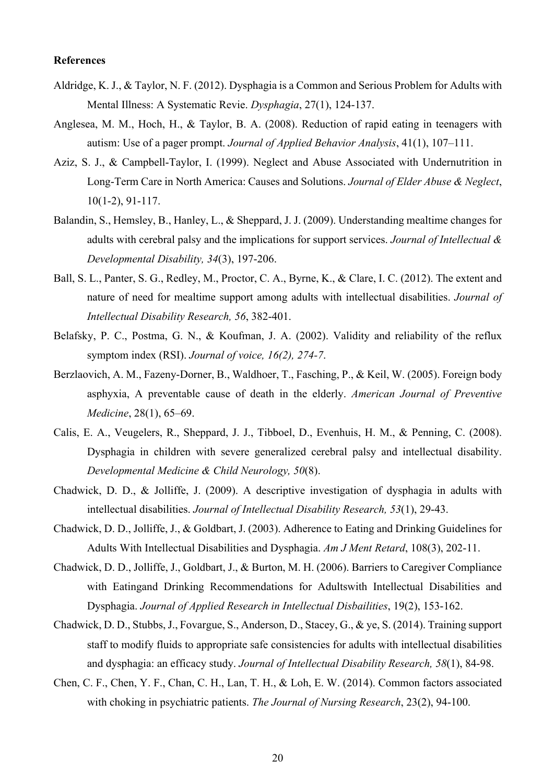#### **References**

- Aldridge, K. J., & Taylor, N. F. (2012). Dysphagia is a Common and Serious Problem for Adults with Mental Illness: A Systematic Revie. *Dysphagia*, 27(1), 124-137.
- Anglesea, M. M., Hoch, H., & Taylor, B. A. (2008). Reduction of rapid eating in teenagers with autism: Use of a pager prompt. *Journal of Applied Behavior Analysis*, 41(1), 107–111.
- Aziz, S. J., & Campbell-Taylor, I. (1999). Neglect and Abuse Associated with Undernutrition in Long-Term Care in North America: Causes and Solutions. *Journal of Elder Abuse & Neglect*, 10(1-2), 91-117.
- Balandin, S., Hemsley, B., Hanley, L., & Sheppard, J. J. (2009). Understanding mealtime changes for adults with cerebral palsy and the implications for support services. *Journal of Intellectual & Developmental Disability, 34*(3), 197-206.
- Ball, S. L., Panter, S. G., Redley, M., Proctor, C. A., Byrne, K., & Clare, I. C. (2012). The extent and nature of need for mealtime support among adults with intellectual disabilities. *Journal of Intellectual Disability Research, 56*, 382-401.
- Belafsky, P. C., Postma, G. N., & Koufman, J. A. (2002). Validity and reliability of the reflux symptom index (RSI). *Journal of voice, 16(2), 274-7*.
- Berzlaovich, A. M., Fazeny-Dorner, B., Waldhoer, T., Fasching, P., & Keil, W. (2005). Foreign body asphyxia, A preventable cause of death in the elderly. *American Journal of Preventive Medicine*, 28(1), 65–69.
- Calis, E. A., Veugelers, R., Sheppard, J. J., Tibboel, D., Evenhuis, H. M., & Penning, C. (2008). Dysphagia in children with severe generalized cerebral palsy and intellectual disability. *Developmental Medicine & Child Neurology, 50*(8).
- Chadwick, D. D., & Jolliffe, J. (2009). A descriptive investigation of dysphagia in adults with intellectual disabilities. *Journal of Intellectual Disability Research, 53*(1), 29-43.
- Chadwick, D. D., Jolliffe, J., & Goldbart, J. (2003). Adherence to Eating and Drinking Guidelines for Adults With Intellectual Disabilities and Dysphagia. *Am J Ment Retard*, 108(3), 202-11.
- Chadwick, D. D., Jolliffe, J., Goldbart, J., & Burton, M. H. (2006). Barriers to Caregiver Compliance with Eatingand Drinking Recommendations for Adultswith Intellectual Disabilities and Dysphagia. *Journal of Applied Research in Intellectual Disbailities*, 19(2), 153-162.
- Chadwick, D. D., Stubbs, J., Fovargue, S., Anderson, D., Stacey, G., & ye, S. (2014). Training support staff to modify fluids to appropriate safe consistencies for adults with intellectual disabilities and dysphagia: an efficacy study. *Journal of Intellectual Disability Research, 58*(1), 84-98.
- Chen, C. F., Chen, Y. F., Chan, C. H., Lan, T. H., & Loh, E. W. (2014). Common factors associated with choking in psychiatric patients. *The Journal of Nursing Research*, 23(2), 94-100.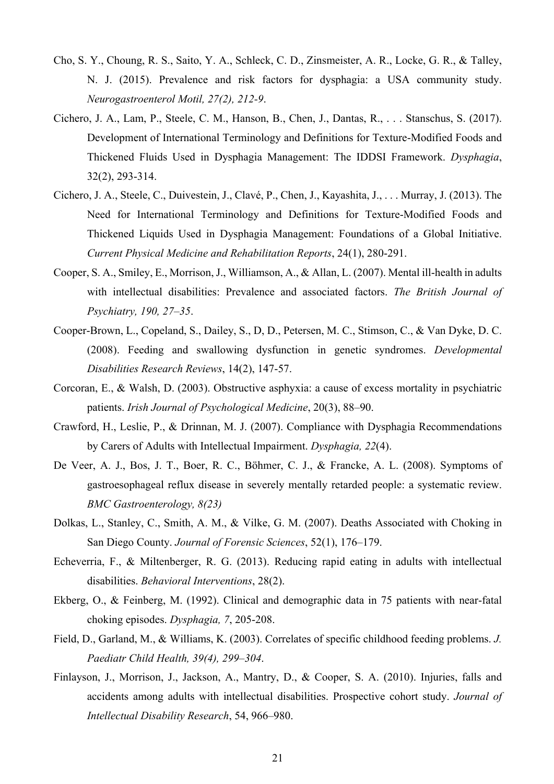- Cho, S. Y., Choung, R. S., Saito, Y. A., Schleck, C. D., Zinsmeister, A. R., Locke, G. R., & Talley, N. J. (2015). Prevalence and risk factors for dysphagia: a USA community study. *Neurogastroenterol Motil, 27(2), 212-9*.
- Cichero, J. A., Lam, P., Steele, C. M., Hanson, B., Chen, J., Dantas, R., . . . Stanschus, S. (2017). Development of International Terminology and Definitions for Texture-Modified Foods and Thickened Fluids Used in Dysphagia Management: The IDDSI Framework. *Dysphagia*, 32(2), 293-314.
- Cichero, J. A., Steele, C., Duivestein, J., Clavé, P., Chen, J., Kayashita, J., . . . Murray, J. (2013). The Need for International Terminology and Definitions for Texture-Modified Foods and Thickened Liquids Used in Dysphagia Management: Foundations of a Global Initiative. *Current Physical Medicine and Rehabilitation Reports*, 24(1), 280-291.
- Cooper, S. A., Smiley, E., Morrison, J., Williamson, A., & Allan, L. (2007). Mental ill‐health in adults with intellectual disabilities: Prevalence and associated factors. *The British Journal of Psychiatry, 190, 27–35*.
- Cooper-Brown, L., Copeland, S., Dailey, S., D, D., Petersen, M. C., Stimson, C., & Van Dyke, D. C. (2008). Feeding and swallowing dysfunction in genetic syndromes. *Developmental Disabilities Research Reviews*, 14(2), 147-57.
- Corcoran, E., & Walsh, D. (2003). Obstructive asphyxia: a cause of excess mortality in psychiatric patients. *Irish Journal of Psychological Medicine*, 20(3), 88–90.
- Crawford, H., Leslie, P., & Drinnan, M. J. (2007). Compliance with Dysphagia Recommendations by Carers of Adults with Intellectual Impairment. *Dysphagia, 22*(4).
- De Veer, A. J., Bos, J. T., Boer, R. C., Böhmer, C. J., & Francke, A. L. (2008). Symptoms of gastroesophageal reflux disease in severely mentally retarded people: a systematic review. *BMC Gastroenterology, 8(23)*
- Dolkas, L., Stanley, C., Smith, A. M., & Vilke, G. M. (2007). Deaths Associated with Choking in San Diego County. *Journal of Forensic Sciences*, 52(1), 176–179.
- Echeverria, F., & Miltenberger, R. G. (2013). Reducing rapid eating in adults with intellectual disabilities. *Behavioral Interventions*, 28(2).
- Ekberg, O., & Feinberg, M. (1992). Clinical and demographic data in 75 patients with near-fatal choking episodes. *Dysphagia, 7*, 205-208.
- Field, D., Garland, M., & Williams, K. (2003). Correlates of specific childhood feeding problems. *J. Paediatr Child Health, 39(4), 299–304*.
- Finlayson, J., Morrison, J., Jackson, A., Mantry, D., & Cooper, S. A. (2010). Injuries, falls and accidents among adults with intellectual disabilities. Prospective cohort study. *Journal of Intellectual Disability Research*, 54, 966–980.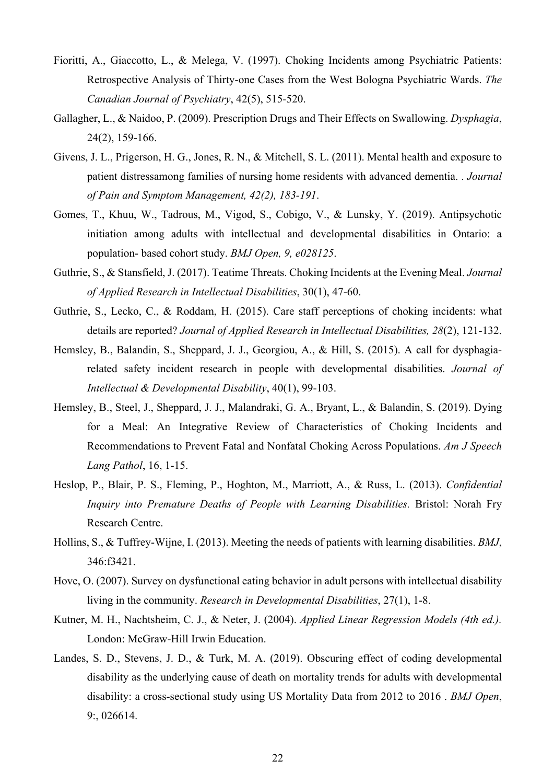- Fioritti, A., Giaccotto, L., & Melega, V. (1997). Choking Incidents among Psychiatric Patients: Retrospective Analysis of Thirty-one Cases from the West Bologna Psychiatric Wards. *The Canadian Journal of Psychiatry*, 42(5), 515-520.
- Gallagher, L., & Naidoo, P. (2009). Prescription Drugs and Their Effects on Swallowing. *Dysphagia*, 24(2), 159-166.
- Givens, J. L., Prigerson, H. G., Jones, R. N., & Mitchell, S. L. (2011). Mental health and exposure to patient distressamong families of nursing home residents with advanced dementia. . *Journal of Pain and Symptom Management, 42(2), 183-191*.
- Gomes, T., Khuu, W., Tadrous, M., Vigod, S., Cobigo, V., & Lunsky, Y. (2019). Antipsychotic initiation among adults with intellectual and developmental disabilities in Ontario: a population- based cohort study. *BMJ Open, 9, e028125*.
- Guthrie, S., & Stansfield, J. (2017). Teatime Threats. Choking Incidents at the Evening Meal. *Journal of Applied Research in Intellectual Disabilities*, 30(1), 47-60.
- Guthrie, S., Lecko, C., & Roddam, H. (2015). Care staff perceptions of choking incidents: what details are reported? *Journal of Applied Research in Intellectual Disabilities, 28*(2), 121-132.
- Hemsley, B., Balandin, S., Sheppard, J. J., Georgiou, A., & Hill, S. (2015). A call for dysphagiarelated safety incident research in people with developmental disabilities. *Journal of Intellectual & Developmental Disability*, 40(1), 99-103.
- Hemsley, B., Steel, J., Sheppard, J. J., Malandraki, G. A., Bryant, L., & Balandin, S. (2019). Dying for a Meal: An Integrative Review of Characteristics of Choking Incidents and Recommendations to Prevent Fatal and Nonfatal Choking Across Populations. *Am J Speech Lang Pathol*, 16, 1-15.
- Heslop, P., Blair, P. S., Fleming, P., Hoghton, M., Marriott, A., & Russ, L. (2013). *Confidential Inquiry into Premature Deaths of People with Learning Disabilities.* Bristol: Norah Fry Research Centre.
- Hollins, S., & Tuffrey-Wijne, I. (2013). Meeting the needs of patients with learning disabilities. *BMJ*, 346:f3421.
- Hove, O. (2007). Survey on dysfunctional eating behavior in adult persons with intellectual disability living in the community. *Research in Developmental Disabilities*, 27(1), 1-8.
- Kutner, M. H., Nachtsheim, C. J., & Neter, J. (2004). *Applied Linear Regression Models (4th ed.).* London: McGraw-Hill Irwin Education.
- Landes, S. D., Stevens, J. D., & Turk, M. A. (2019). Obscuring effect of coding developmental disability as the underlying cause of death on mortality trends for adults with developmental disability: a cross-sectional study using US Mortality Data from 2012 to 2016 . *BMJ Open*, 9:, 026614.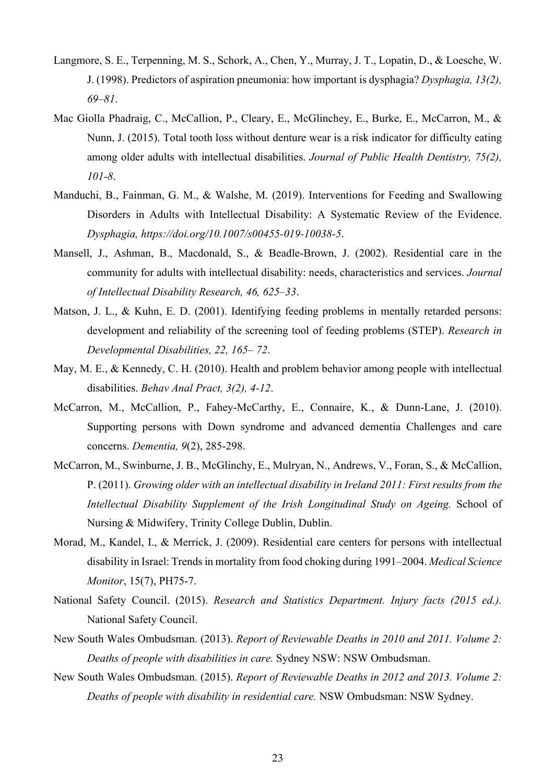- Langmore, S. E., Terpenning, M. S., Schork, A., Chen, Y., Murray, J. T., Lopatin, D., & Loesche, W. J. (1998). Predictors of aspiration pneumonia: how important is dysphagia? *Dysphagia, 13(2), 69–81*.
- Mac Giolla Phadraig, C., McCallion, P., Cleary, E., McGlinchey, E., Burke, E., McCarron, M., & Nunn, J. (2015). Total tooth loss without denture wear is a risk indicator for difficulty eating among older adults with intellectual disabilities. *Journal of Public Health Dentistry, 75(2), 101-8*.
- Manduchi, B., Fainman, G. M., & Walshe, M. (2019). Interventions for Feeding and Swallowing Disorders in Adults with Intellectual Disability: A Systematic Review of the Evidence. *Dysphagia, https://doi.org/10.1007/s00455-019-10038-5*.
- Mansell, J., Ashman, B., Macdonald, S., & Beadle-Brown, J. (2002). Residential care in the community for adults with intellectual disability: needs, characteristics and services. *Journal of Intellectual Disability Research, 46, 625–33*.
- Matson, J. L., & Kuhn, E. D. (2001). Identifying feeding problems in mentally retarded persons: development and reliability of the screening tool of feeding problems (STEP). *Research in Developmental Disabilities, 22, 165– 72*.
- May, M. E., & Kennedy, C. H. (2010). Health and problem behavior among people with intellectual disabilities. *Behav Anal Pract, 3(2), 4-12*.
- McCarron, M., McCallion, P., Fahey-McCarthy, E., Connaire, K., & Dunn-Lane, J. (2010). Supporting persons with Down syndrome and advanced dementia Challenges and care concerns. *Dementia, 9*(2), 285-298.
- McCarron, M., Swinburne, J. B., McGlinchy, E., Mulryan, N., Andrews, V., Foran, S., & McCallion, P. (2011). *Growing older with an intellectual disability in Ireland 2011: First results from the Intellectual Disability Supplement of the Irish Longitudinal Study on Ageing.* School of Nursing & Midwifery, Trinity College Dublin, Dublin.
- Morad, M., Kandel, I., & Merrick, J. (2009). Residential care centers for persons with intellectual disability in Israel: Trends in mortality from food choking during 1991–2004. *Medical Science Monitor*, 15(7), PH75-7.
- National Safety Council. (2015). *Research and Statistics Department. Injury facts (2015 ed.).* National Safety Council.
- New South Wales Ombudsman. (2013). *Report of Reviewable Deaths in 2010 and 2011. Volume 2: Deaths of people with disabilities in care.* Sydney NSW: NSW Ombudsman.
- New South Wales Ombudsman. (2015). *Report of Reviewable Deaths in 2012 and 2013. Volume 2: Deaths of people with disability in residential care.* NSW Ombudsman: NSW Sydney.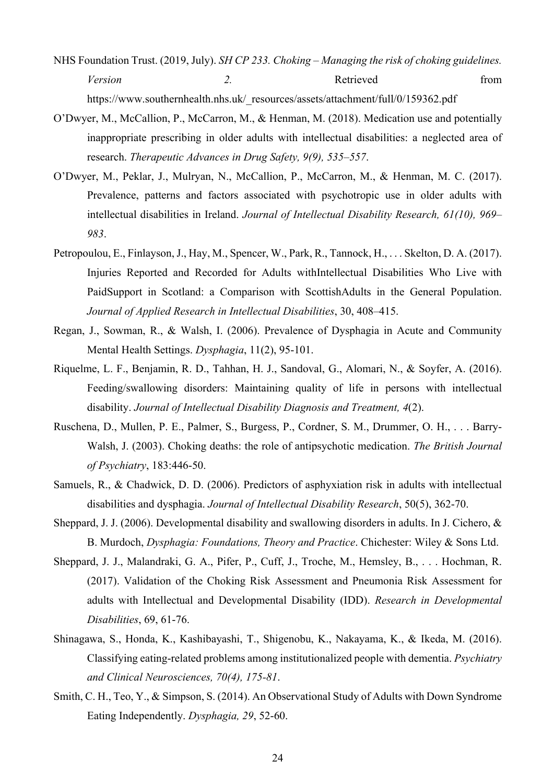- NHS Foundation Trust. (2019, July). *SH CP 233. Choking – Managing the risk of choking guidelines. Version* 2. Retrieved from https://www.southernhealth.nhs.uk/\_resources/assets/attachment/full/0/159362.pdf
- O'Dwyer, M., McCallion, P., McCarron, M., & Henman, M. (2018). Medication use and potentially inappropriate prescribing in older adults with intellectual disabilities: a neglected area of research. *Therapeutic Advances in Drug Safety, 9(9), 535–557*.
- O'Dwyer, M., Peklar, J., Mulryan, N., McCallion, P., McCarron, M., & Henman, M. C. (2017). Prevalence, patterns and factors associated with psychotropic use in older adults with intellectual disabilities in Ireland. *Journal of Intellectual Disability Research, 61(10), 969– 983*.
- Petropoulou, E., Finlayson, J., Hay, M., Spencer, W., Park, R., Tannock, H., ... Skelton, D. A. (2017). Injuries Reported and Recorded for Adults withIntellectual Disabilities Who Live with PaidSupport in Scotland: a Comparison with ScottishAdults in the General Population. *Journal of Applied Research in Intellectual Disabilities*, 30, 408–415.
- Regan, J., Sowman, R., & Walsh, I. (2006). Prevalence of Dysphagia in Acute and Community Mental Health Settings. *Dysphagia*, 11(2), 95-101.
- Riquelme, L. F., Benjamin, R. D., Tahhan, H. J., Sandoval, G., Alomari, N., & Soyfer, A. (2016). Feeding/swallowing disorders: Maintaining quality of life in persons with intellectual disability. *Journal of Intellectual Disability Diagnosis and Treatment, 4*(2).
- Ruschena, D., Mullen, P. E., Palmer, S., Burgess, P., Cordner, S. M., Drummer, O. H., . . . Barry-Walsh, J. (2003). Choking deaths: the role of antipsychotic medication. *The British Journal of Psychiatry*, 183:446-50.
- Samuels, R., & Chadwick, D. D. (2006). Predictors of asphyxiation risk in adults with intellectual disabilities and dysphagia. *Journal of Intellectual Disability Research*, 50(5), 362-70.
- Sheppard, J. J. (2006). Developmental disability and swallowing disorders in adults. In J. Cichero, & B. Murdoch, *Dysphagia: Foundations, Theory and Practice*. Chichester: Wiley & Sons Ltd.
- Sheppard, J. J., Malandraki, G. A., Pifer, P., Cuff, J., Troche, M., Hemsley, B., . . . Hochman, R. (2017). Validation of the Choking Risk Assessment and Pneumonia Risk Assessment for adults with Intellectual and Developmental Disability (IDD). *Research in Developmental Disabilities*, 69, 61-76.
- Shinagawa, S., Honda, K., Kashibayashi, T., Shigenobu, K., Nakayama, K., & Ikeda, M. (2016). Classifying eating‐related problems among institutionalized people with dementia. *Psychiatry and Clinical Neurosciences, 70(4), 175-81*.
- Smith, C. H., Teo, Y., & Simpson, S. (2014). An Observational Study of Adults with Down Syndrome Eating Independently. *Dysphagia, 29*, 52-60.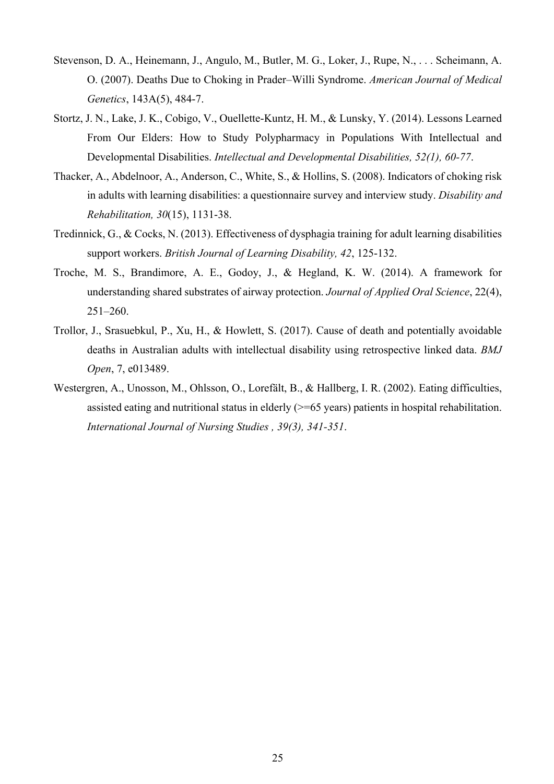- Stevenson, D. A., Heinemann, J., Angulo, M., Butler, M. G., Loker, J., Rupe, N., . . . Scheimann, A. O. (2007). Deaths Due to Choking in Prader–Willi Syndrome. *American Journal of Medical Genetics*, 143A(5), 484-7.
- Stortz, J. N., Lake, J. K., Cobigo, V., Ouellette-Kuntz, H. M., & Lunsky, Y. (2014). Lessons Learned From Our Elders: How to Study Polypharmacy in Populations With Intellectual and Developmental Disabilities. *Intellectual and Developmental Disabilities, 52(1), 60-77*.
- Thacker, A., Abdelnoor, A., Anderson, C., White, S., & Hollins, S. (2008). Indicators of choking risk in adults with learning disabilities: a questionnaire survey and interview study. *Disability and Rehabilitation, 30*(15), 1131-38.
- Tredinnick, G., & Cocks, N. (2013). Effectiveness of dysphagia training for adult learning disabilities support workers. *British Journal of Learning Disability, 42*, 125-132.
- Troche, M. S., Brandimore, A. E., Godoy, J., & Hegland, K. W. (2014). A framework for understanding shared substrates of airway protection. *Journal of Applied Oral Science*, 22(4), 251–260.
- Trollor, J., Srasuebkul, P., Xu, H., & Howlett, S. (2017). Cause of death and potentially avoidable deaths in Australian adults with intellectual disability using retrospective linked data. *BMJ Open*, 7, e013489.
- Westergren, A., Unosson, M., Ohlsson, O., Lorefält, B., & Hallberg, I. R. (2002). Eating difficulties, assisted eating and nutritional status in elderly (>=65 years) patients in hospital rehabilitation. *International Journal of Nursing Studies , 39(3), 341-351*.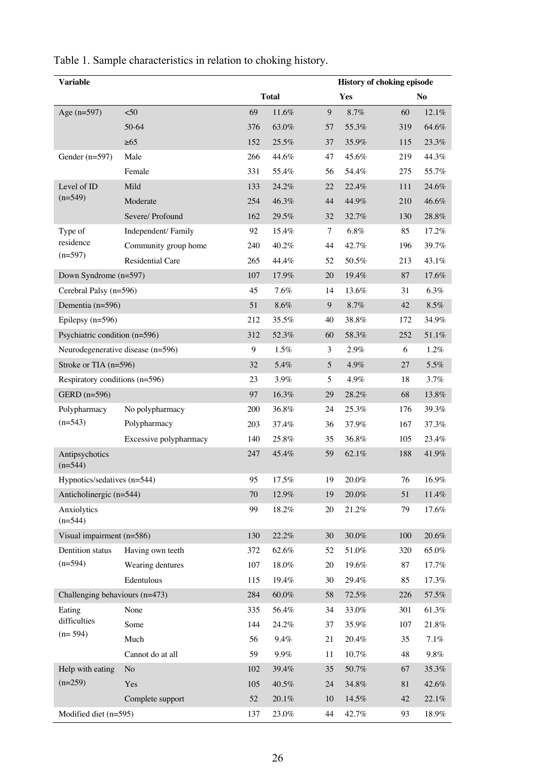| Variable                          |                                | <b>History of choking episode</b> |          |    |          |        |           |  |
|-----------------------------------|--------------------------------|-----------------------------------|----------|----|----------|--------|-----------|--|
|                                   |                                | <b>Total</b>                      |          |    | Yes      |        | <b>No</b> |  |
| Age (n=597)                       | $50$                           | 69                                | 11.6%    | 9  | 8.7%     | 60     | 12.1%     |  |
|                                   | 50-64                          | 376                               | 63.0%    | 57 | 55.3%    | 319    | 64.6%     |  |
|                                   | $\geq 65$                      | 152                               | 25.5%    | 37 | 35.9%    | 115    | 23.3%     |  |
| Gender $(n=597)$                  | Male                           | 266                               | 44.6%    | 47 | 45.6%    | 219    | 44.3%     |  |
|                                   | Female                         | 331                               | 55.4%    | 56 | 54.4%    | 275    | 55.7%     |  |
| Level of ID<br>$(n=549)$          | Mild                           | 133                               | 24.2%    | 22 | 22.4%    | 111    | 24.6%     |  |
|                                   | Moderate                       | 254                               | 46.3%    | 44 | 44.9%    | 210    | 46.6%     |  |
|                                   | Severe/ Profound               | 162                               | 29.5%    | 32 | 32.7%    | 130    | 28.8%     |  |
| Type of                           | Independent/Family             | 92                                | 15.4%    | 7  | 6.8%     | 85     | 17.2%     |  |
| residence                         | Community group home           | 240                               | 40.2%    | 44 | 42.7%    | 196    | 39.7%     |  |
| $(n=597)$                         | Residential Care               | 265                               | 44.4%    | 52 | 50.5%    | 213    | 43.1%     |  |
| Down Syndrome (n=597)             |                                | 107                               | 17.9%    | 20 | 19.4%    | 87     | 17.6%     |  |
| Cerebral Palsy (n=596)            |                                | 45                                | 7.6%     | 14 | 13.6%    | 31     | 6.3%      |  |
| Dementia (n=596)                  |                                | 51                                | 8.6%     | 9  | 8.7%     | 42     | 8.5%      |  |
| Epilepsy $(n=596)$                |                                | 212                               | 35.5%    | 40 | 38.8%    | 172    | 34.9%     |  |
| Psychiatric condition (n=596)     |                                | 312                               | 52.3%    | 60 | 58.3%    | 252    | 51.1%     |  |
| Neurodegenerative disease (n=596) |                                | 9                                 | 1.5%     | 3  | 2.9%     | 6      | 1.2%      |  |
| Stroke or TIA (n=596)             |                                | 32                                | 5.4%     | 5  | 4.9%     | 27     | 5.5%      |  |
| Respiratory conditions (n=596)    |                                | 23                                | 3.9%     | 5  | 4.9%     | 18     | 3.7%      |  |
| GERD (n=596)                      |                                | 97                                | 16.3%    | 29 | 28.2%    | 68     | 13.8%     |  |
| Polypharmacy                      | No polypharmacy                | 200                               | 36.8%    | 24 | 25.3%    | 176    | 39.3%     |  |
| $(n=543)$                         | Polypharmacy                   | 203                               | 37.4%    | 36 | 37.9%    | 167    | 37.3%     |  |
|                                   | Excessive polypharmacy         | 140                               | 25.8%    | 35 | 36.8%    | 105    | 23.4%     |  |
| Antipsychotics<br>$(n=544)$       |                                | 247                               | 45.4%    | 59 | 62.1%    | 188    | 41.9%     |  |
| Hypnotics/sedatives (n=544)       |                                | 95                                | 17.5%    | 19 | 20.0%    | 76     | 16.9%     |  |
| Anticholinergic (n=544)           |                                | $70\,$                            | 12.9%    | 19 | $20.0\%$ | 51     | 11.4%     |  |
| Anxiolytics<br>$(n=544)$          |                                | 99                                | 18.2%    | 20 | 21.2%    | 79     | 17.6%     |  |
| Visual impairment (n=586)         |                                | 130                               | 22.2%    | 30 | $30.0\%$ | 100    | $20.6\%$  |  |
| Dentition status                  | Having own teeth               | 372                               | 62.6%    | 52 | 51.0%    | 320    | 65.0%     |  |
| $(n=594)$                         | Wearing dentures               | 107                               | 18.0%    | 20 | 19.6%    | 87     | 17.7%     |  |
|                                   | Edentulous                     | 115                               | 19.4%    | 30 | 29.4%    | 85     | 17.3%     |  |
|                                   | Challenging behaviours (n=473) |                                   | $60.0\%$ | 58 | 72.5%    | 226    | 57.5%     |  |
| Eating                            | None                           | 335                               | 56.4%    | 34 | 33.0%    | 301    | 61.3%     |  |
| difficulties<br>$(n=594)$         | Some                           | 144                               | 24.2%    | 37 | 35.9%    | 107    | 21.8%     |  |
|                                   | Much                           | 56                                | 9.4%     | 21 | 20.4%    | 35     | $7.1\%$   |  |
|                                   | Cannot do at all               | 59                                | 9.9%     | 11 | 10.7%    | 48     | $9.8\%$   |  |
| Help with eating<br>$(n=259)$     | No                             | 102                               | 39.4%    | 35 | $50.7\%$ | 67     | 35.3%     |  |
|                                   | Yes                            | 105                               | 40.5%    | 24 | 34.8%    | $81\,$ | 42.6%     |  |
|                                   | Complete support               | 52                                | 20.1%    | 10 | 14.5%    | 42     | 22.1%     |  |
| Modified diet (n=595)             |                                | 137                               | 23.0%    | 44 | 42.7%    | 93     | 18.9%     |  |

Table 1. Sample characteristics in relation to choking history.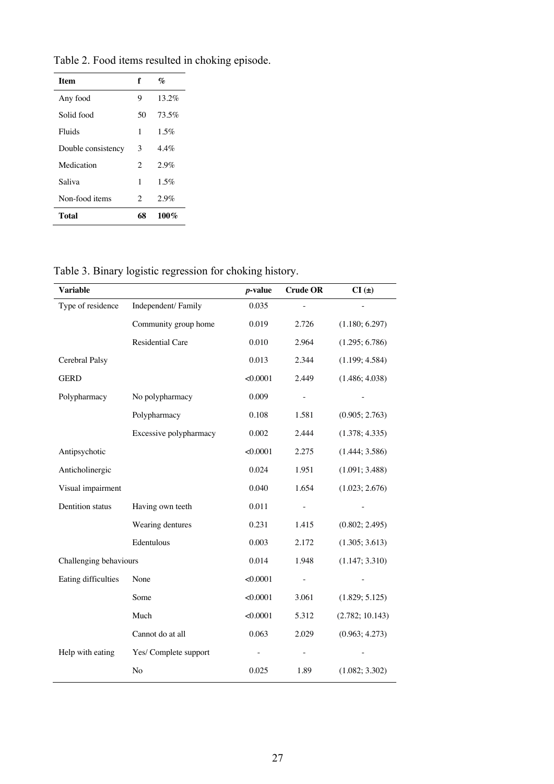| <b>Item</b>        | f                           | $\mathbf{v}_c$ |
|--------------------|-----------------------------|----------------|
| Any food           | 9                           | $13.2\%$       |
| Solid food         | 50                          | 73.5%          |
| Fluids             | 1                           | 1.5%           |
| Double consistency | 3                           | $4.4\%$        |
| Medication         | $\mathfrak{D}$              | 2.9%           |
| Saliva             | 1                           | 1.5%           |
| Non-food items     | $\mathcal{D}_{\mathcal{L}}$ | 2.9%           |
| Total              | 68                          | 100%           |

Table 2. Food items resulted in choking episode.

Table 3. Binary logistic regression for choking history.

| <b>Variable</b>        |                        | <i>p</i> -value | <b>Crude OR</b> | $CI(\pm)$       |
|------------------------|------------------------|-----------------|-----------------|-----------------|
| Type of residence      | Independent/Family     | 0.035           |                 |                 |
|                        | Community group home   | 0.019           | 2.726           | (1.180; 6.297)  |
|                        | Residential Care       | 0.010           | 2.964           | (1.295; 6.786)  |
| Cerebral Palsy         |                        | 0.013           | 2.344           | (1.199; 4.584)  |
| <b>GERD</b>            |                        | < 0.0001        | 2.449           | (1.486; 4.038)  |
| Polypharmacy           | No polypharmacy        | 0.009           |                 |                 |
|                        | Polypharmacy           | 0.108           | 1.581           | (0.905; 2.763)  |
|                        | Excessive polypharmacy | 0.002           | 2.444           | (1.378; 4.335)  |
| Antipsychotic          |                        | < 0.0001        | 2.275           | (1.444; 3.586)  |
| Anticholinergic        |                        | 0.024           | 1.951           | (1.091; 3.488)  |
| Visual impairment      |                        | 0.040           | 1.654           | (1.023; 2.676)  |
| Dentition status       | Having own teeth       | 0.011           |                 |                 |
|                        | Wearing dentures       | 0.231           | 1.415           | (0.802; 2.495)  |
|                        | Edentulous             | 0.003           | 2.172           | (1.305; 3.613)  |
| Challenging behaviours |                        | 0.014           | 1.948           | (1.147; 3.310)  |
| Eating difficulties    | None                   | < 0.0001        |                 |                 |
|                        | Some                   | < 0.0001        | 3.061           | (1.829; 5.125)  |
|                        | Much                   | < 0.0001        | 5.312           | (2.782; 10.143) |
|                        | Cannot do at all       | 0.063           | 2.029           | (0.963; 4.273)  |
| Help with eating       | Yes/ Complete support  |                 | $\blacksquare$  |                 |
|                        | No                     | 0.025           | 1.89            | (1.082; 3.302)  |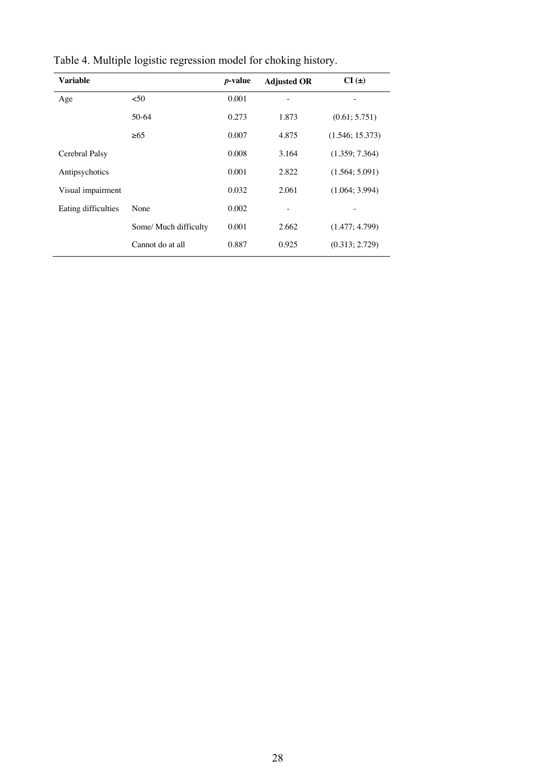| <b>Variable</b>     |                       | <i>p</i> -value | <b>Adjusted OR</b> | $CI(\pm)$       |
|---------------------|-----------------------|-----------------|--------------------|-----------------|
| Age                 | $50$                  | 0.001           |                    |                 |
|                     | 50-64                 | 0.273           | 1.873              | (0.61; 5.751)   |
|                     | >65                   | 0.007           | 4.875              | (1.546; 15.373) |
| Cerebral Palsy      |                       | 0.008           | 3.164              | (1.359; 7.364)  |
| Antipsychotics      |                       | 0.001           | 2.822              | (1.564; 5.091)  |
| Visual impairment   |                       | 0.032           | 2.061              | (1.064; 3.994)  |
| Eating difficulties | None                  | 0.002           | -                  |                 |
|                     | Some/ Much difficulty | 0.001           | 2.662              | (1.477; 4.799)  |
|                     | Cannot do at all      | 0.887           | 0.925              | (0.313; 2.729)  |

Table 4. Multiple logistic regression model for choking history.